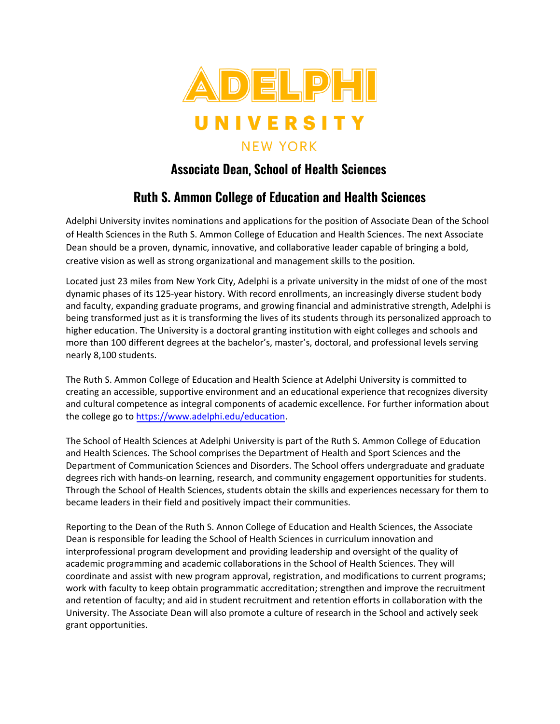

## **Associate Dean**, **School of Health Sciences**

## **Ruth S. Ammon College of Education and Health Sciences**

Adelphi University invites nominations and applications for the position of Associate Dean of the School of Health Sciences in the Ruth S. Ammon College of Education and Health Sciences. The next Associate Dean should be a proven, dynamic, innovative, and collaborative leader capable of bringing a bold, creative vision as well as strong organizational and management skills to the position.

Located just 23 miles from New York City, Adelphi is a private university in the midst of one of the most dynamic phases of its 125-year history. With record enrollments, an increasingly diverse student body and faculty, expanding graduate programs, and growing financial and administrative strength, Adelphi is being transformed just as it is transforming the lives of its students through its personalized approach to higher education. The University is a doctoral granting institution with eight colleges and schools and more than 100 different degrees at the bachelor's, master's, doctoral, and professional levels serving nearly 8,100 students.

The Ruth S. Ammon College of Education and Health Science at Adelphi University is committed to creating an accessible, supportive environment and an educational experience that recognizes diversity and cultural competence as integral components of academic excellence. For further information about the college go to [https://www.adelphi.edu/education.](https://www.adelphi.edu/education)

The School of Health Sciences at Adelphi University is part of the Ruth S. Ammon College of Education and Health Sciences. The School comprises the Department of Health and Sport Sciences and the Department of Communication Sciences and Disorders. The School offers undergraduate and graduate degrees rich with hands-on learning, research, and community engagement opportunities for students. Through the School of Health Sciences, students obtain the skills and experiences necessary for them to became leaders in their field and positively impact their communities.

Reporting to the Dean of the Ruth S. Annon College of Education and Health Sciences, the Associate Dean is responsible for leading the School of Health Sciences in curriculum innovation and interprofessional program development and providing leadership and oversight of the quality of academic programming and academic collaborations in the School of Health Sciences. They will coordinate and assist with new program approval, registration, and modifications to current programs; work with faculty to keep obtain programmatic accreditation; strengthen and improve the recruitment and retention of faculty; and aid in student recruitment and retention efforts in collaboration with the University. The Associate Dean will also promote a culture of research in the School and actively seek grant opportunities.